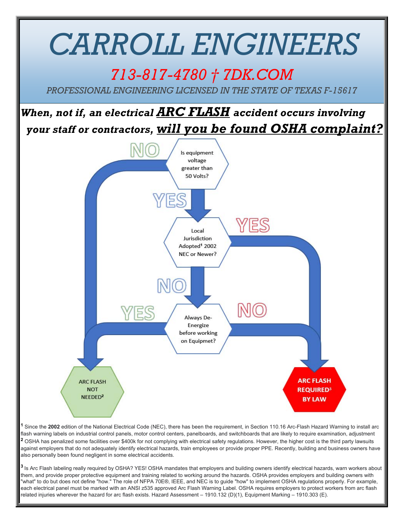

**<sup>1</sup>** Since the **2002** edition of the National Electrical Code (NEC), there has been the requirement, in Section 110.16 Arc-Flash Hazard Warning to install arc flash warning labels on industrial control panels, motor control centers, panelboards, and switchboards that are likely to require examination, adjustment **<sup>2</sup>** OSHA has penalized some facilities over \$400k for not complying with electrical safety regulations. However, the higher cost is the third party lawsuits against employers that do not adequately identify electrical hazards, train employees or provide proper PPE. Recently, building and business owners have also personally been found negligent in some electrical accidents.

**<sup>3</sup>**Is Arc Flash labeling really required by OSHA? YES! OSHA mandates that employers and building owners identify electrical hazards, warn workers about them, and provide proper protective equipment and training related to working around the hazards. OSHA provides employers and building owners with "what" to do but does not define "how." The role of NFPA 70E®, IEEE, and NEC is to guide "how" to implement OSHA regulations properly. For example, each electrical panel must be marked with an ANSI z535 approved Arc Flash Warning Label. OSHA requires employers to protect workers from arc flash related injuries wherever the hazard for arc flash exists. Hazard Assessment – 1910.132 (D)(1), Equipment Marking – 1910.303 (E).